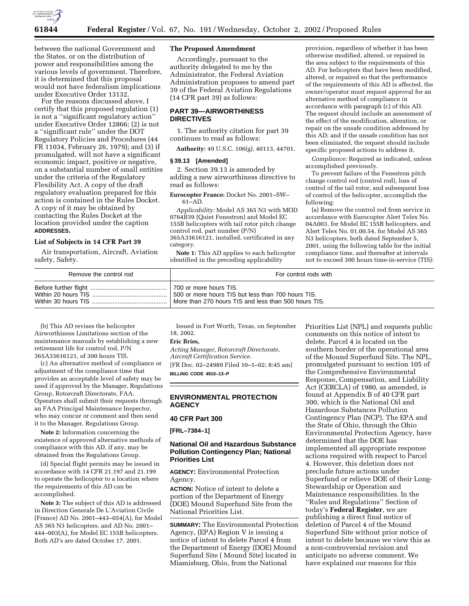

**61844 Federal Register** / Vol. 67, No. 191 / Wednesday, October 2, 2002 / Proposed Rules

between the national Government and the States, or on the distribution of power and responsibilities among the various levels of government. Therefore, it is determined that this proposal would not have federalism implications under Executive Order 13132.

For the reasons discussed above, I certify that this proposed regulation (1) is not a ''significant regulatory action'' under Executive Order 12866; (2) is not a ''significant rule'' under the DOT Regulatory Policies and Procedures (44 FR 11034, February 26, 1979); and (3) if promulgated, will not have a significant economic impact, positive or negative, on a substantial number of small entities under the criteria of the Regulatory Flexibility Act. A copy of the draft regulatory evaluation prepared for this action is contained in the Rules Docket. A copy of it may be obtained by contacting the Rules Docket at the location provided under the caption **ADDRESSES.**

### **List of Subjects in 14 CFR Part 39**

Air transportation, Aircraft, Aviation safety, Safety.

### **The Proposed Amendment**

Accordingly, pursuant to the authority delegated to me by the Administrator, the Federal Aviation Administration proposes to amend part 39 of the Federal Aviation Regulations (14 CFR part 39) as follows:

### **PART 39—AIRWORTHINESS DIRECTIVES**

1. The authority citation for part 39 continues to read as follows:

**Authority:** 49 U.S.C. 106(g), 40113, 44701.

#### **§ 39.13 [Amended]**

2. Section 39.13 is amended by adding a new airworthiness directive to read as follows:

**Eurocopter France:** Docket No. 2001–SW– 61–AD.

*Applicability:* Model AS 365 N3 with MOD 0764B39 (Quiet Fenestron) and Model EC 155B helicopters with tail rotor pitch change control rod, part number (P/N) 365A33616121, installed, certificated in any category.

**Note 1:** This AD applies to each helicopter identified in the preceding applicability

provision, regardless of whether it has been otherwise modified, altered, or repaired in the area subject to the requirements of this AD. For helicopters that have been modified, altered, or repaired so that the performance of the requirements of this AD is affected, the owner/operator must request approval for an alternative method of compliance in accordance with paragraph (c) of this AD. The request should include an assessment of the effect of the modification, alteration, or repair on the unsafe condition addressed by this AD; and if the unsafe condition has not been eliminated, the request should include specific proposed actions to address it.

*Compliance:* Required as indicated, unless accomplished previously.

To prevent failure of the Fenestron pitch change control rod (control rod), loss of control of the tail rotor, and subsequent loss of control of the helicopter, accomplish the following:

(a) Remove the control rod from service in accordance with Eurocopter Alert Telex No. 04A003, for Model EC 155B helicopters, and Alert Telex No. 01.00.54, for Model AS 365 N3 helicopters, both dated September 5, 2001, using the following table for the initial compliance time, and thereafter at intervals not to exceed 300 hours time-in-service (TIS):

| Remove the control rod | For control rods with                                |
|------------------------|------------------------------------------------------|
|                        | 1700 or more hours TIS.                              |
| Within 20 hours TIS    | 500 or more hours TIS but less than 700 hours TIS.   |
| Within 30 hours TIS    | More than 270 hours TIS and less than 500 hours TIS. |

(b) This AD revises the helicopter Airworthiness Limitations section of the maintenance manuals by establishing a new retirement life for control rod, P/N 365A33616121, of 300 hours TIS.

(c) An alternative method of compliance or adjustment of the compliance time that provides an acceptable level of safety may be used if approved by the Manager, Regulations Group, Rotorcraft Directorate, FAA. Operators shall submit their requests through an FAA Principal Maintenance Inspector, who may concur or comment and then send it to the Manager, Regulations Group.

**Note 2:** Information concerning the existence of approved alternative methods of compliance with this AD, if any, may be obtained from the Regulations Group.

(d) Special flight permits may be issued in accordance with 14 CFR 21.197 and 21.199 to operate the helicopter to a location where the requirements of this AD can be accomplished.

**Note 3:** The subject of this AD is addressed in Direction Generale De L'Aviation Civile (France) AD No. 2001–443–054(A), for Model AS 365 N3 helicopters, and AD No. 2001– 444–003(A), for Model EC 155B helicopters. Both AD's are dated October 17, 2001.

Issued in Fort Worth, Texas, on September 18, 2002.

## **Eric Bries,**

*Acting Manager, Rotorcraft Directorate, Aircraft Certification Service.* [FR Doc. 02–24989 Filed 10–1–02; 8:45 am] **BILLING CODE 4910–13–P**

### **ENVIRONMENTAL PROTECTION AGENCY**

### **40 CFR Part 300**

**[FRL–7384–1]** 

# **National Oil and Hazardous Substance Pollution Contingency Plan; National Priorities List**

**AGENCY:** Environmental Protection Agency.

**ACTION:** Notice of intent to delete a portion of the Department of Energy (DOE) Mound Superfund Site from the National Priorities List.

**SUMMARY:** The Environmental Protection Agency, (EPA) Region V is issuing a notice of intent to delete Parcel 4 from the Department of Energy (DOE) Mound Superfund Site ( Mound Site) located in Miamisburg, Ohio, from the National

Priorities List (NPL) and requests public comments on this notice of intent to delete. Parcel 4 is located on the southern border of the operational area of the Mound Superfund Site. The NPL, promulgated pursuant to section 105 of the Comprehensive Environmental Response, Compensation, and Liability Act (CERCLA) of 1980, as amended, is found at Appendix B of 40 CFR part 300, which is the National Oil and Hazardous Substances Pollution Contingency Plan (NCP). The EPA and the State of Ohio, through the Ohio Environmental Protection Agency, have determined that the DOE has implemented all appropriate response actions required with respect to Parcel 4. However, this deletion does not preclude future actions under Superfund or relieve DOE of their Long-Stewardship or Operation and Maintenance responsibilities. In the ''Rules and Regulations'' Section of today's **Federal Register**, we are publishing a direct final notice of deletion of Parcel 4 of the Mound Superfund Site without prior notice of intent to delete because we view this as a non-controversial revision and anticipate no adverse comment. We have explained our reasons for this